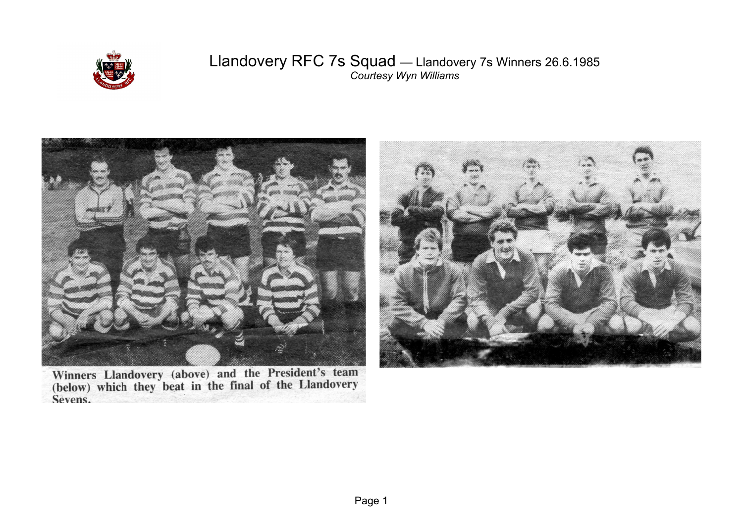

## Llandovery RFC 7s Squad — Llandovery 7s Winners 26.6.1985 *Courtesy Wyn Williams*



Winners Llandovery (above) and the President's team<br>(below) which they beat in the final of the Llandovery Sevens.

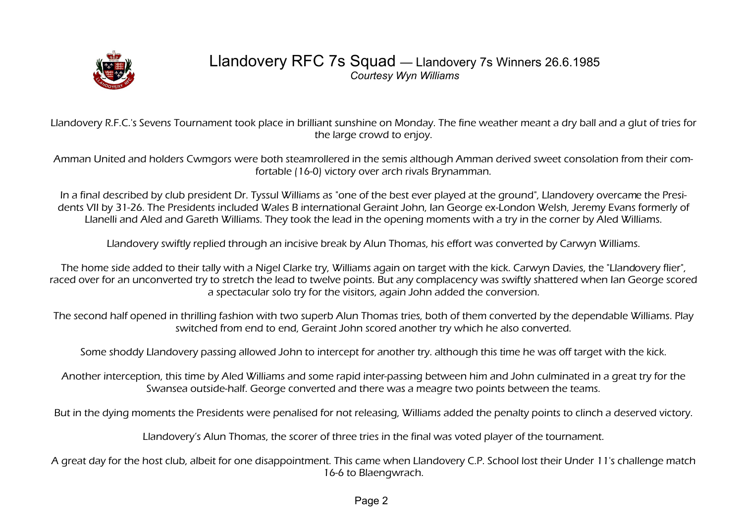

## Llandovery RFC 7s Squad — Llandovery 7s Winners 26.6.1985 *Courtesy Wyn Williams*

Llandovery R.F.C.'s Sevens Tournament took place in brilliant sunshine on Monday. The fine weather meant a dry ball and a glut of tries for the large crowd to enjoy.

Amman United and holders Cwmgors were both steamrollered in the semis although Amman derived sweet consolation from their comfortable (16-0) victory over arch rivals Brynamman.

In a final described by club president Dr. Tyssul Williams as "one of the best ever played at the ground", Llandovery overcame the Presidents VII by 31-26. The Presidents included Wales B international Geraint John, Ian George ex-London Welsh, Jeremy Evans formerly of Llanelli and Aled and Gareth Williams. They took the lead in the opening moments with a try in the corner by Aled Williams.

Llandovery swiftly replied through an incisive break by Alun Thomas, his effort was converted by Carwyn Williams.

The home side added to their tally with a Nigel Clarke try, Williams again on target with the kick. Carwyn Davies, the "Llandovery flier", raced over for an unconverted try to stretch the lead to twelve points. But any complacency was swiftly shattered when Ian George scored a spectacular solo try for the visitors, again John added the conversion.

The second half opened in thrilling fashion with two superb Alun Thomas tries, both of them converted by the dependable Williams. Play switched from end to end, Geraint John scored another try which he also converted.

Some shoddy Llandovery passing allowed John to intercept for another try. although this time he was off target with the kick.

Another interception, this time by Aled Williams and some rapid inter-passing between him and John culminated in a great try for the Swansea outside-half. George converted and there was a meagre two points between the teams.

But in the dying moments the Presidents were penalised for not releasing, Williams added the penalty points to clinch a deserved victory.

Llandovery's Alun Thomas, the scorer of three tries in the final was voted player of the tournament.

A great day for the host club, albeit for one disappointment. This came when Llandovery C.P. School lost their Under 11's challenge match 16-6 to Blaengwrach.